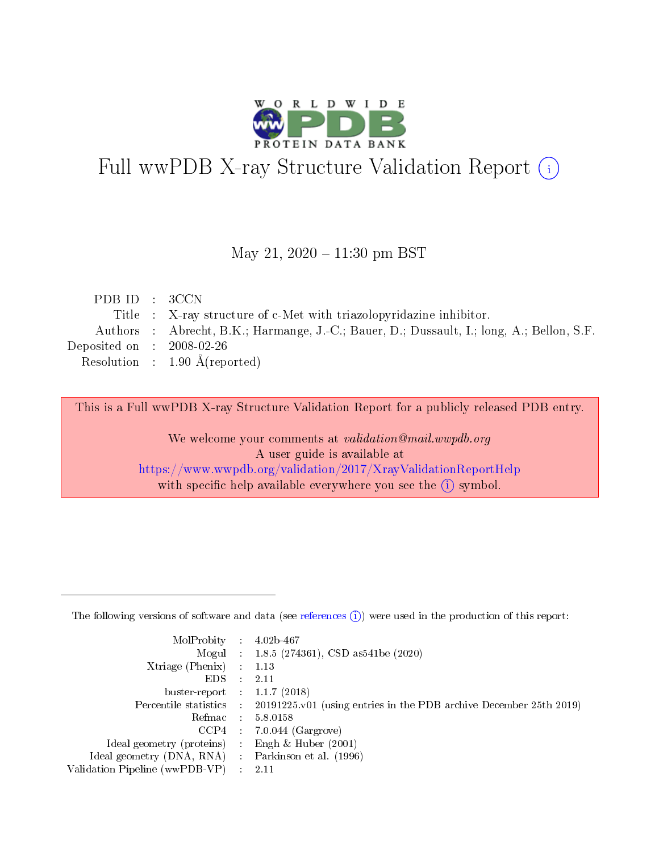

# Full wwPDB X-ray Structure Validation Report (i)

#### May 21,  $2020 - 11:30$  pm BST

| PDB ID : 3CCN               |                                                                                           |
|-----------------------------|-------------------------------------------------------------------------------------------|
|                             | Title : X-ray structure of c-Met with triazolopyridazine inhibitor.                       |
|                             | Authors : Abrecht, B.K.; Harmange, J.-C.; Bauer, D.; Dussault, I.; long, A.; Bellon, S.F. |
| Deposited on : $2008-02-26$ |                                                                                           |
|                             | Resolution : $1.90 \text{ Å}$ (reported)                                                  |
|                             |                                                                                           |

This is a Full wwPDB X-ray Structure Validation Report for a publicly released PDB entry.

We welcome your comments at validation@mail.wwpdb.org A user guide is available at <https://www.wwpdb.org/validation/2017/XrayValidationReportHelp> with specific help available everywhere you see the  $(i)$  symbol.

The following versions of software and data (see [references](https://www.wwpdb.org/validation/2017/XrayValidationReportHelp#references)  $(1)$ ) were used in the production of this report:

| MolProbity :                   |               | $4.02b - 467$                                                               |
|--------------------------------|---------------|-----------------------------------------------------------------------------|
|                                |               | Mogul : $1.8.5$ (274361), CSD as 541be (2020)                               |
| Xtriage (Phenix)               | $\mathcal{L}$ | 1.13                                                                        |
| EDS.                           |               | 2.11                                                                        |
| buster-report : $1.1.7$ (2018) |               |                                                                             |
| Percentile statistics :        |               | $20191225 \text{v}01$ (using entries in the PDB archive December 25th 2019) |
| Refmac :                       |               | 5.8.0158                                                                    |
| CCP4                           |               | $7.0.044$ (Gargrove)                                                        |
| Ideal geometry (proteins) :    |               | Engh $\&$ Huber (2001)                                                      |
| Ideal geometry (DNA, RNA) :    |               | Parkinson et al. (1996)                                                     |
| Validation Pipeline (wwPDB-VP) | $\mathcal{L}$ | 2.11                                                                        |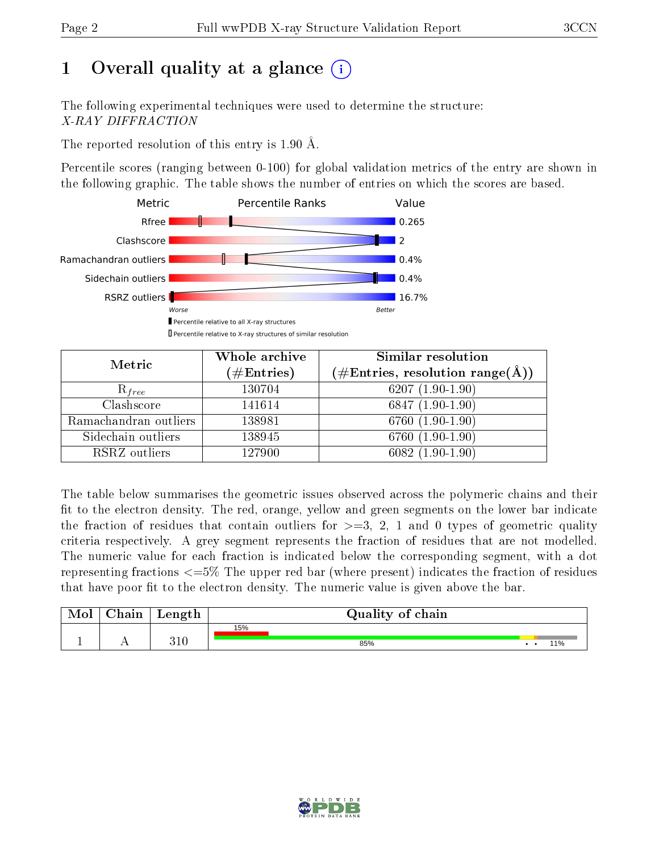# 1 [O](https://www.wwpdb.org/validation/2017/XrayValidationReportHelp#overall_quality)verall quality at a glance  $(i)$

The following experimental techniques were used to determine the structure: X-RAY DIFFRACTION

The reported resolution of this entry is 1.90 Å.

Percentile scores (ranging between 0-100) for global validation metrics of the entry are shown in the following graphic. The table shows the number of entries on which the scores are based.



| Metric                | Whole archive<br>$(\#\text{Entries})$ | Similar resolution<br>$(\#\text{Entries}, \text{resolution range}(\text{\AA}))$ |
|-----------------------|---------------------------------------|---------------------------------------------------------------------------------|
| $R_{free}$            | 130704                                | $6207(1.90-1.90)$                                                               |
| Clashscore            | 141614                                | $6847(1.90-1.90)$                                                               |
| Ramachandran outliers | 138981                                | 6760 (1.90-1.90)                                                                |
| Sidechain outliers    | 138945                                | 6760 (1.90-1.90)                                                                |
| RSRZ outliers         | 127900                                | $6082(1.90-1.90)$                                                               |

The table below summarises the geometric issues observed across the polymeric chains and their fit to the electron density. The red, orange, yellow and green segments on the lower bar indicate the fraction of residues that contain outliers for  $>=$  3, 2, 1 and 0 types of geometric quality criteria respectively. A grey segment represents the fraction of residues that are not modelled. The numeric value for each fraction is indicated below the corresponding segment, with a dot representing fractions  $\epsilon=5\%$  The upper red bar (where present) indicates the fraction of residues that have poor fit to the electron density. The numeric value is given above the bar.

| Mol      | ${\rm Chain}$ | Length | Quality of chain |                 |
|----------|---------------|--------|------------------|-----------------|
|          |               |        | 15%              |                 |
| <b>.</b> |               | 310    | 85%              | 10 <sub>0</sub> |

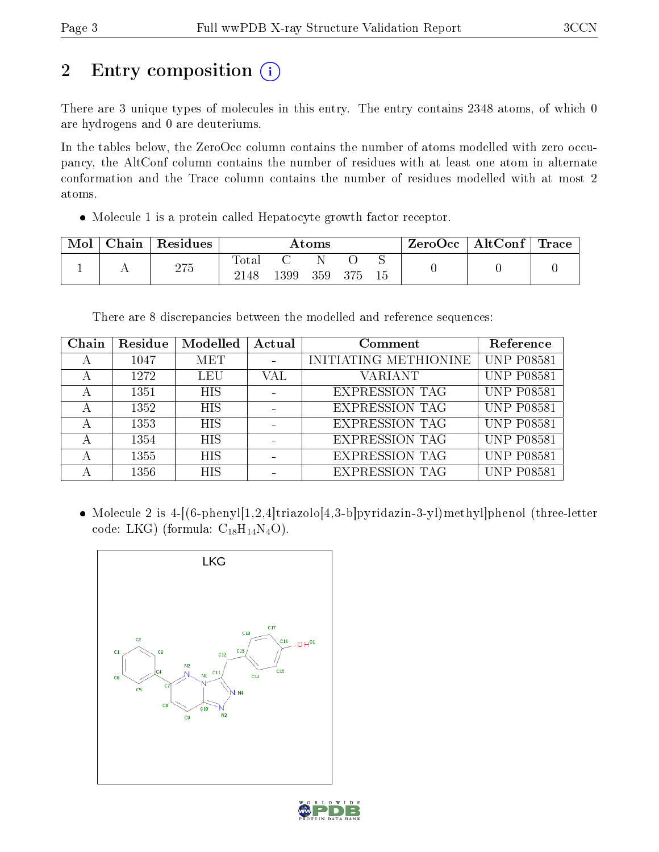# 2 Entry composition (i)

There are 3 unique types of molecules in this entry. The entry contains 2348 atoms, of which 0 are hydrogens and 0 are deuteriums.

In the tables below, the ZeroOcc column contains the number of atoms modelled with zero occupancy, the AltConf column contains the number of residues with at least one atom in alternate conformation and the Trace column contains the number of residues modelled with at most 2 atoms.

Molecule 1 is a protein called Hepatocyte growth factor receptor.

| Mol | $\cap$ hain | Residues | $\rm{Atoms}$  |      |     |     | ZeroOcc | $\mid$ AltConf $\mid$ | $\operatorname{Trace} \mid$ |  |
|-----|-------------|----------|---------------|------|-----|-----|---------|-----------------------|-----------------------------|--|
|     |             | 275      | Tota.<br>2148 | 1399 | 359 | 375 | ∼<br>15 |                       |                             |  |

There are 8 discrepancies between the modelled and reference sequences:

| Chain | Residue | Modelled   | Actual | Comment               | Reference         |
|-------|---------|------------|--------|-----------------------|-------------------|
|       | 1047    | MET        |        | INITIATING METHIONINE | <b>UNP P08581</b> |
|       | 1272    | LEU        | VAL    | <b>VARIANT</b>        | <b>UNP P08581</b> |
|       | 1351    | <b>HIS</b> |        | <b>EXPRESSION TAG</b> | <b>UNP P08581</b> |
| А     | 1352    | <b>HIS</b> |        | <b>EXPRESSION TAG</b> | <b>UNP P08581</b> |
|       | 1353    | <b>HIS</b> |        | <b>EXPRESSION TAG</b> | <b>UNP P08581</b> |
|       | 1354    | <b>HIS</b> |        | <b>EXPRESSION TAG</b> | <b>UNP P08581</b> |
|       | 1355    | <b>HIS</b> |        | <b>EXPRESSION TAG</b> | <b>UNP P08581</b> |
|       | 1356    | <b>HIS</b> |        | <b>EXPRESSION TAG</b> | <b>UNP P08581</b> |

 Molecule 2 is 4-[(6-phenyl[1,2,4]triazolo[4,3-b]pyridazin-3-yl)methyl]phenol (three-letter code: LKG) (formula:  $C_{18}H_{14}N_4O$ ).



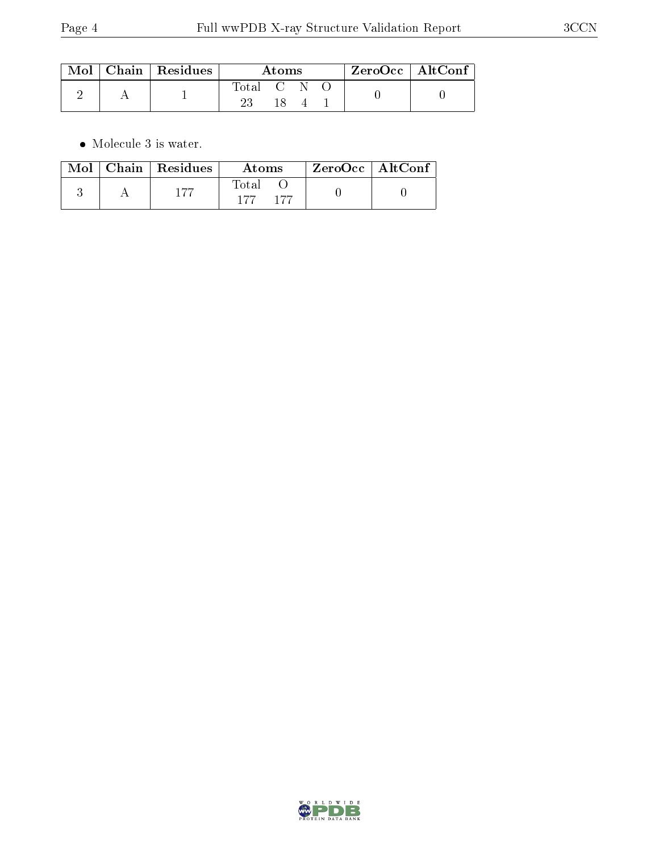|  | $\mid$ Mol $\mid$ Chain $\mid$ Residues | Atoms    |  |  | $\rm ZeroOcc \mid AltConf$ |  |
|--|-----------------------------------------|----------|--|--|----------------------------|--|
|  |                                         | 'Iotal C |  |  |                            |  |

 $\bullet\,$  Molecule 3 is water.

|  | $\text{Mol}$   Chain   Residues | Atoms | $\rm ZeroOcc$   AltConf |  |
|--|---------------------------------|-------|-------------------------|--|
|  | 155                             | Total |                         |  |

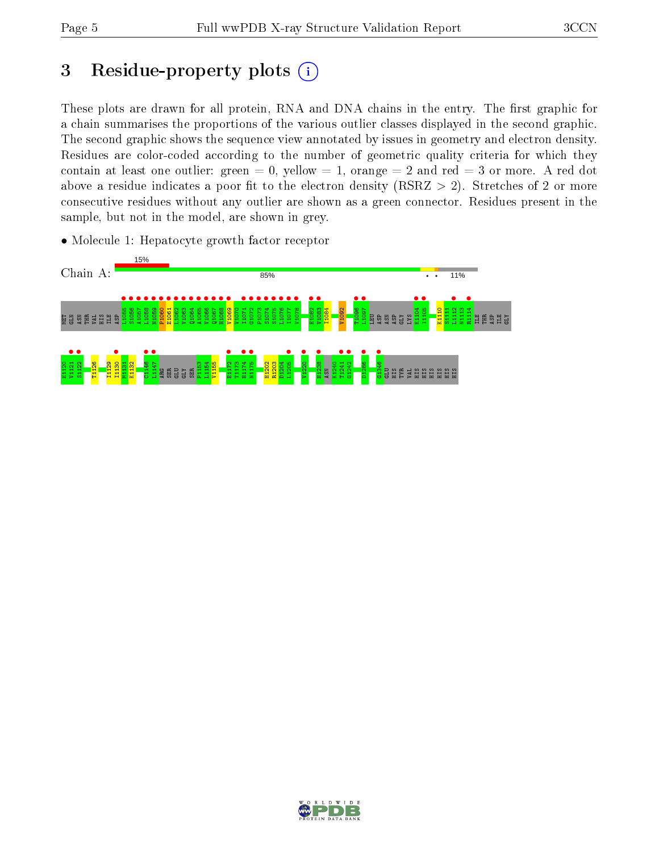## 3 Residue-property plots  $(i)$

These plots are drawn for all protein, RNA and DNA chains in the entry. The first graphic for a chain summarises the proportions of the various outlier classes displayed in the second graphic. The second graphic shows the sequence view annotated by issues in geometry and electron density. Residues are color-coded according to the number of geometric quality criteria for which they contain at least one outlier: green  $= 0$ , yellow  $= 1$ , orange  $= 2$  and red  $= 3$  or more. A red dot above a residue indicates a poor fit to the electron density (RSRZ  $> 2$ ). Stretches of 2 or more consecutive residues without any outlier are shown as a green connector. Residues present in the sample, but not in the model, are shown in grey.





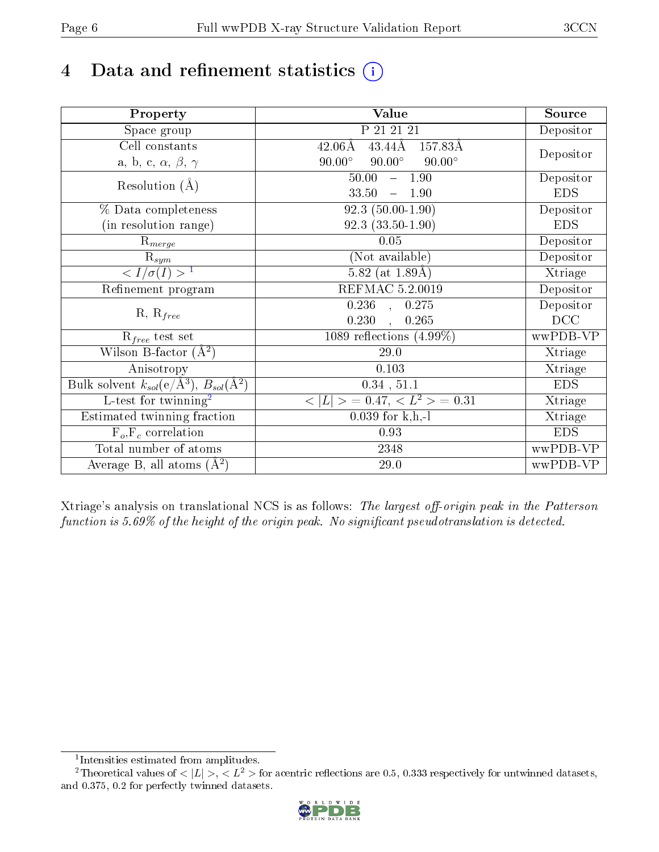# 4 Data and refinement statistics  $(i)$

| Property                                                             | Value                                           | Source     |
|----------------------------------------------------------------------|-------------------------------------------------|------------|
| Space group                                                          | P 21 21 21                                      | Depositor  |
| Cell constants                                                       | 43.44Å<br>$42.06\text{\AA}$<br>157.83Å          |            |
| a, b, c, $\alpha$ , $\beta$ , $\gamma$                               | $90.00^\circ$<br>$90.00^\circ$<br>$90.00^\circ$ | Depositor  |
| Resolution $(A)$                                                     | $-1.90$<br>50.00                                | Depositor  |
|                                                                      | 33.50<br>$-1.90$                                | <b>EDS</b> |
| % Data completeness                                                  | $92.3(50.00-1.90)$                              | Depositor  |
| (in resolution range)                                                | $92.3(33.50-1.90)$                              | <b>EDS</b> |
| $\mathrm{R}_{merge}$                                                 | 0.05                                            | Depositor  |
| $\mathrm{R}_{sym}$                                                   | (Not available)                                 | Depositor  |
| $\sqrt{I/\sigma(I)} > 1$                                             | $\overline{5.82}$ (at 1.89Å)                    | Xtriage    |
| Refinement program                                                   | <b>REFMAC 5.2.0019</b>                          | Depositor  |
|                                                                      | $\overline{0.236}$ ,<br>0.275                   | Depositor  |
| $R, R_{free}$                                                        | 0.230<br>0.265<br>$\ddot{\phantom{a}}$          | DCC        |
| $R_{free}$ test set                                                  | 1089 reflections $(4.99\%)$                     | wwPDB-VP   |
| Wilson B-factor $(A^2)$                                              | 29.0                                            | Xtriage    |
| Anisotropy                                                           | 0.103                                           | Xtriage    |
| Bulk solvent $k_{sol}(e/\mathring{A}^3)$ , $B_{sol}(\mathring{A}^2)$ | 0.34, 51.1                                      | <b>EDS</b> |
| $\overline{L-test for}$ twinning <sup>2</sup>                        | $< L >$ = 0.47, $< L2 >$ = 0.31                 | Xtriage    |
| Estimated twinning fraction                                          | $0.039$ for k,h,-l                              | Xtriage    |
| $F_o, F_c$ correlation                                               | 0.93                                            | <b>EDS</b> |
| Total number of atoms                                                | 2348                                            | wwPDB-VP   |
| Average B, all atoms $(A^2)$                                         | $29.0\,$                                        | wwPDB-VP   |

Xtriage's analysis on translational NCS is as follows: The largest off-origin peak in the Patterson function is  $5.69\%$  of the height of the origin peak. No significant pseudotranslation is detected.

<sup>&</sup>lt;sup>2</sup>Theoretical values of  $\langle |L| \rangle$ ,  $\langle L^2 \rangle$  for acentric reflections are 0.5, 0.333 respectively for untwinned datasets, and 0.375, 0.2 for perfectly twinned datasets.



<span id="page-5-1"></span><span id="page-5-0"></span><sup>1</sup> Intensities estimated from amplitudes.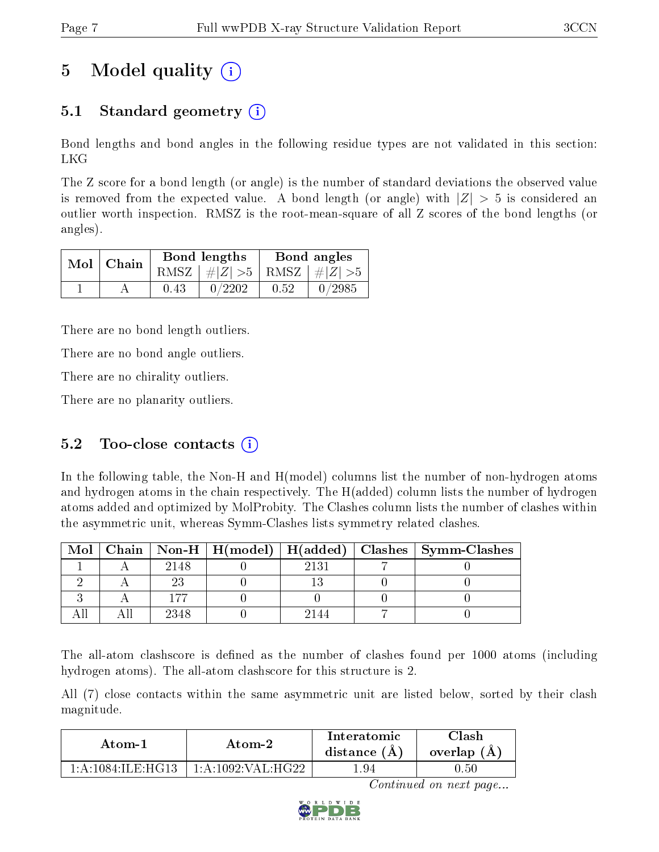# 5 Model quality  $(i)$

### 5.1 Standard geometry  $\overline{()}$

Bond lengths and bond angles in the following residue types are not validated in this section: LKG

The Z score for a bond length (or angle) is the number of standard deviations the observed value is removed from the expected value. A bond length (or angle) with  $|Z| > 5$  is considered an outlier worth inspection. RMSZ is the root-mean-square of all Z scores of the bond lengths (or angles).

| $Mol$ Chain |      | Bond lengths                    | Bond angles |                    |  |
|-------------|------|---------------------------------|-------------|--------------------|--|
|             |      | RMSZ $ #Z  > 5$ RMSZ $ #Z  > 5$ |             |                    |  |
|             | 0.43 | 0/2202                          | 0.52        | $^{\prime}$ 0/2985 |  |

There are no bond length outliers.

There are no bond angle outliers.

There are no chirality outliers.

There are no planarity outliers.

#### 5.2 Too-close contacts  $(i)$

In the following table, the Non-H and H(model) columns list the number of non-hydrogen atoms and hydrogen atoms in the chain respectively. The H(added) column lists the number of hydrogen atoms added and optimized by MolProbity. The Clashes column lists the number of clashes within the asymmetric unit, whereas Symm-Clashes lists symmetry related clashes.

| Mol |      |      | $\mid$ Chain $\mid$ Non-H $\mid$ H(model) $\mid$ H(added) $\mid$ Clashes $\mid$ Symm-Clashes $\mid$ |
|-----|------|------|-----------------------------------------------------------------------------------------------------|
|     | 2148 | 2131 |                                                                                                     |
|     |      |      |                                                                                                     |
|     | 177  |      |                                                                                                     |
|     | 2348 |      |                                                                                                     |

The all-atom clashscore is defined as the number of clashes found per 1000 atoms (including hydrogen atoms). The all-atom clashscore for this structure is 2.

All (7) close contacts within the same asymmetric unit are listed below, sorted by their clash magnitude.

| Atom-1                            | Atom-2            | Interatomic<br>distance $(A)$ | ™lash ∶<br>overlap $(A)$ |  |
|-----------------------------------|-------------------|-------------------------------|--------------------------|--|
| $1 \cdot A \cdot 1084$ II F HC 13 | 1 A 1099 VAL HG99 | .94                           | J.50-                    |  |

Continued on next page...

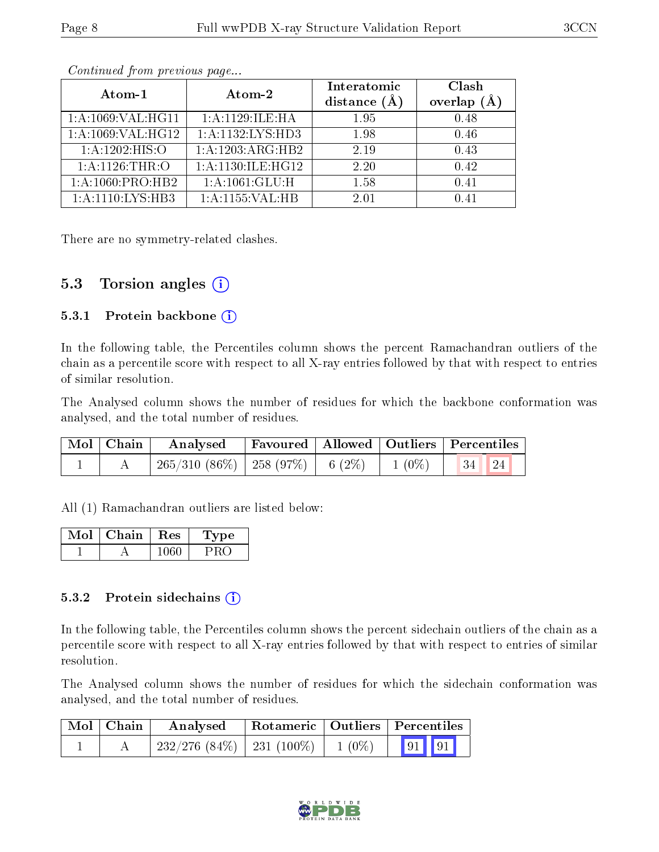|                   | Atom-2               | Interatomic    | Clash          |
|-------------------|----------------------|----------------|----------------|
| Atom-1            |                      | distance $(A)$ | overlap<br>(A) |
| 1:A:1069:VAL:HG11 | 1: A: 1129: ILE: HA  | 1.95           | 0.48           |
| 1:A:1069:VAL:HG12 | 1:A:1132:LYS:HD3     | 1.98           | 0.46           |
| 1:A:1202:HIS:O    | 1:A:1203:ARG:HB2     | 2.19           | 0.43           |
| 1: A:1126:THR:O   | 1: A:1130: ILE: HG12 | 2.20           | 0.42           |
| 1:A:1060:PRO:HB2  | 1: A: 1061: GLU: H   | 1.58           | 0.41           |
| 1:A:1110:LYS:HB3  | 1:A:1155:VAL:HB      | 2.01           | በ 41           |

Continued from previous page...

There are no symmetry-related clashes.

#### 5.3 Torsion angles  $(i)$

#### 5.3.1 Protein backbone  $(i)$

In the following table, the Percentiles column shows the percent Ramachandran outliers of the chain as a percentile score with respect to all X-ray entries followed by that with respect to entries of similar resolution.

The Analysed column shows the number of residues for which the backbone conformation was analysed, and the total number of residues.

| $\mid$ Mol $\mid$ Chain $\mid$ | Analysed Favoured   Allowed   Outliers   Percentiles       |  |  |
|--------------------------------|------------------------------------------------------------|--|--|
|                                | $^+$ 265/310 (86%)   258 (97%)   6 (2%)   1 (0%)   34   24 |  |  |

All (1) Ramachandran outliers are listed below:

| Mol | Chain | $\operatorname{Res}$ | Type |
|-----|-------|----------------------|------|
|     |       |                      |      |

#### 5.3.2 Protein sidechains  $(i)$

In the following table, the Percentiles column shows the percent sidechain outliers of the chain as a percentile score with respect to all X-ray entries followed by that with respect to entries of similar resolution.

The Analysed column shows the number of residues for which the sidechain conformation was analysed, and the total number of residues.

| $\mid$ Mol $\mid$ Chain | Analysed                                 |  | Rotameric   Outliers   Percentiles                                    |  |  |
|-------------------------|------------------------------------------|--|-----------------------------------------------------------------------|--|--|
|                         | $232/276$ (84\%)   231 (100\%)   1 (0\%) |  | $\begin{array}{ c c c c c } \hline \text{91} & \text{91} \end{array}$ |  |  |

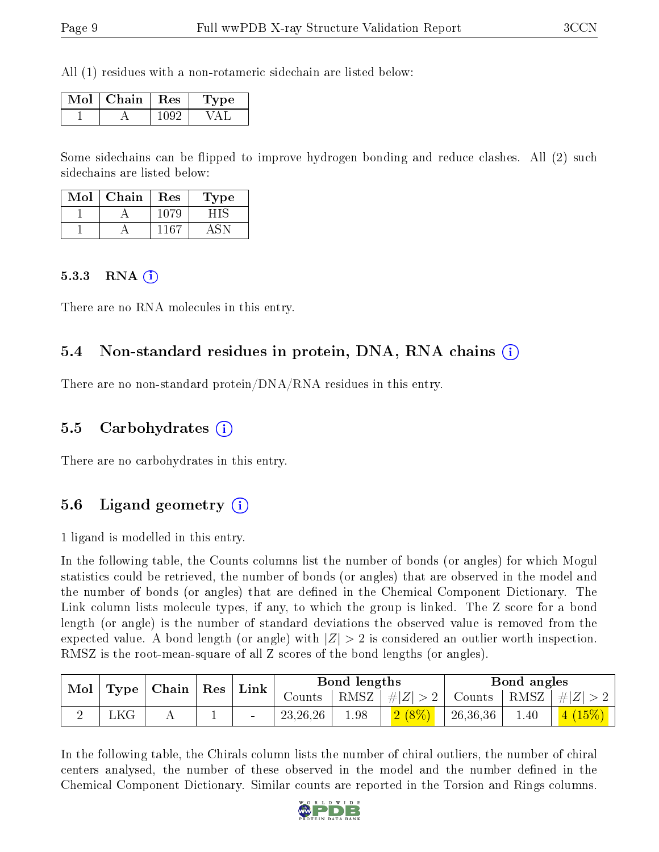All (1) residues with a non-rotameric sidechain are listed below:

| Mol | Chain | Res | 'Type |
|-----|-------|-----|-------|
|     |       |     |       |

Some sidechains can be flipped to improve hydrogen bonding and reduce clashes. All (2) such sidechains are listed below:

| Mol | Chain | Res | <b>Type</b> |
|-----|-------|-----|-------------|
|     |       |     |             |
|     |       | 167 |             |

#### $5.3.3$  RNA  $(i)$

There are no RNA molecules in this entry.

#### 5.4 Non-standard residues in protein, DNA, RNA chains (i)

There are no non-standard protein/DNA/RNA residues in this entry.

#### 5.5 Carbohydrates (i)

There are no carbohydrates in this entry.

### 5.6 Ligand geometry (i)

1 ligand is modelled in this entry.

In the following table, the Counts columns list the number of bonds (or angles) for which Mogul statistics could be retrieved, the number of bonds (or angles) that are observed in the model and the number of bonds (or angles) that are dened in the Chemical Component Dictionary. The Link column lists molecule types, if any, to which the group is linked. The Z score for a bond length (or angle) is the number of standard deviations the observed value is removed from the expected value. A bond length (or angle) with  $|Z| > 2$  is considered an outlier worth inspection. RMSZ is the root-mean-square of all Z scores of the bond lengths (or angles).

| Mol |      | $\mid$ Chain $\mid$ Res $\mid$ |  |  | Link         | Bond lengths |         |               | Bond angles |              |  |
|-----|------|--------------------------------|--|--|--------------|--------------|---------|---------------|-------------|--------------|--|
|     | Type |                                |  |  | $\sim$ ounts | RMSZ         | $\# Z $ | Counts   RMSZ |             | $^+$ # $ Z $ |  |
|     | ∟KG  |                                |  |  | 23, 26, 26   | 1.98         | $2(8\%$ | 26,36,36      | 1.40        | (15%)        |  |

In the following table, the Chirals column lists the number of chiral outliers, the number of chiral centers analysed, the number of these observed in the model and the number defined in the Chemical Component Dictionary. Similar counts are reported in the Torsion and Rings columns.

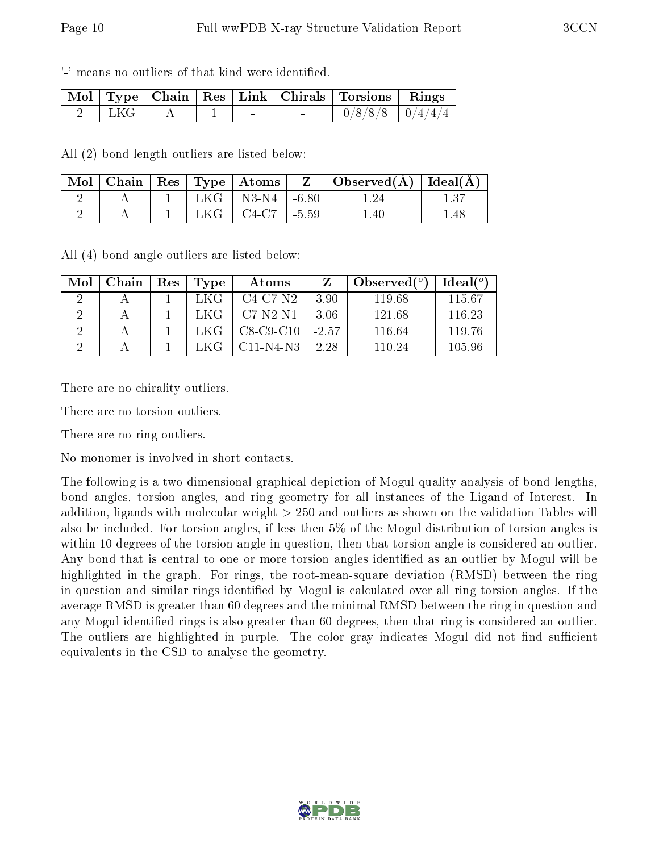'-' means no outliers of that kind were identified.

|        |  |        | Mol   Type   Chain   Res   Link   Chirals   Torsions   Rings |  |
|--------|--|--------|--------------------------------------------------------------|--|
| - LKG- |  | $\sim$ | $0/8/8/8$   $0/4/4/4$                                        |  |

All (2) bond length outliers are listed below:

| Mol |  |       | $\top$ Chain   Res   Type   Atoms |            | $\perp$ Observed( $\AA$ ) $\perp$ | $\mid$ Ideal( $\rm \AA) \mid$ |
|-----|--|-------|-----------------------------------|------------|-----------------------------------|-------------------------------|
|     |  | $LKG$ | N3-N4                             | $1 - 6.80$ |                                   |                               |
|     |  | LKG-  | C4-C7                             | $-5.59$    | $^{\circ}$ .40                    | .48                           |

All (4) bond angle outliers are listed below:

| Mol | Chain | Res | Type | Atoms       |         | Observed $(°)$ | Ideal <sup>(o)</sup> |
|-----|-------|-----|------|-------------|---------|----------------|----------------------|
|     |       |     | LKG  | $C4-C7-N2$  | 3.90    | 119.68         | 115.67               |
|     |       |     | LKG  | $C7-N2-N1$  | 3.06    | 121.68         | 116.23               |
|     |       |     | LKG  | $C8-C9-C10$ | $-2.57$ | 116.64         | 119.76               |
|     |       |     |      | $C11-N4-N3$ | 2.28    | 110.24         | 105.96               |

There are no chirality outliers.

There are no torsion outliers.

There are no ring outliers.

No monomer is involved in short contacts.

The following is a two-dimensional graphical depiction of Mogul quality analysis of bond lengths, bond angles, torsion angles, and ring geometry for all instances of the Ligand of Interest. In addition, ligands with molecular weight > 250 and outliers as shown on the validation Tables will also be included. For torsion angles, if less then 5% of the Mogul distribution of torsion angles is within 10 degrees of the torsion angle in question, then that torsion angle is considered an outlier. Any bond that is central to one or more torsion angles identified as an outlier by Mogul will be highlighted in the graph. For rings, the root-mean-square deviation (RMSD) between the ring in question and similar rings identified by Mogul is calculated over all ring torsion angles. If the average RMSD is greater than 60 degrees and the minimal RMSD between the ring in question and any Mogul-identified rings is also greater than 60 degrees, then that ring is considered an outlier. The outliers are highlighted in purple. The color gray indicates Mogul did not find sufficient equivalents in the CSD to analyse the geometry.

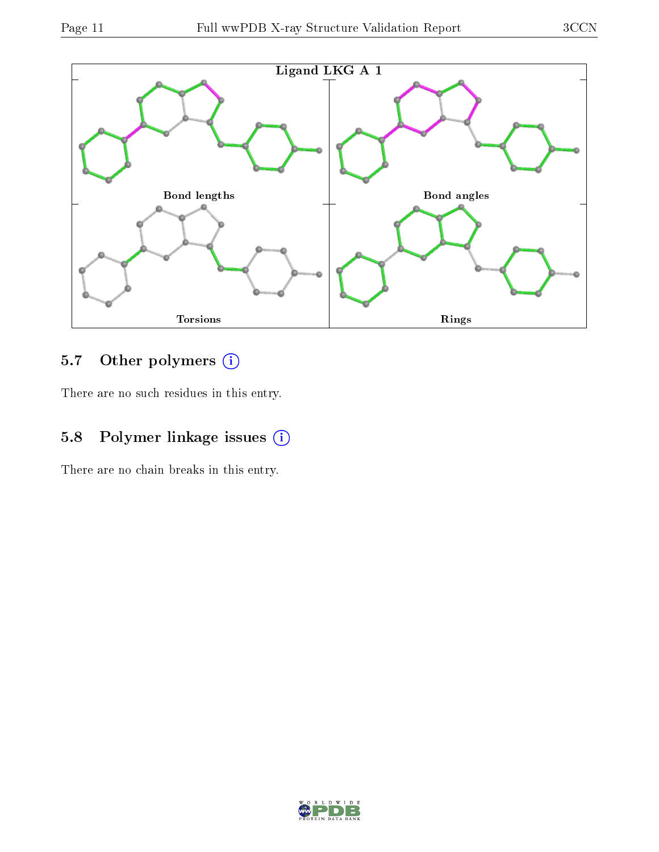

### 5.7 [O](https://www.wwpdb.org/validation/2017/XrayValidationReportHelp#nonstandard_residues_and_ligands)ther polymers (i)

There are no such residues in this entry.

### 5.8 Polymer linkage issues  $(i)$

There are no chain breaks in this entry.

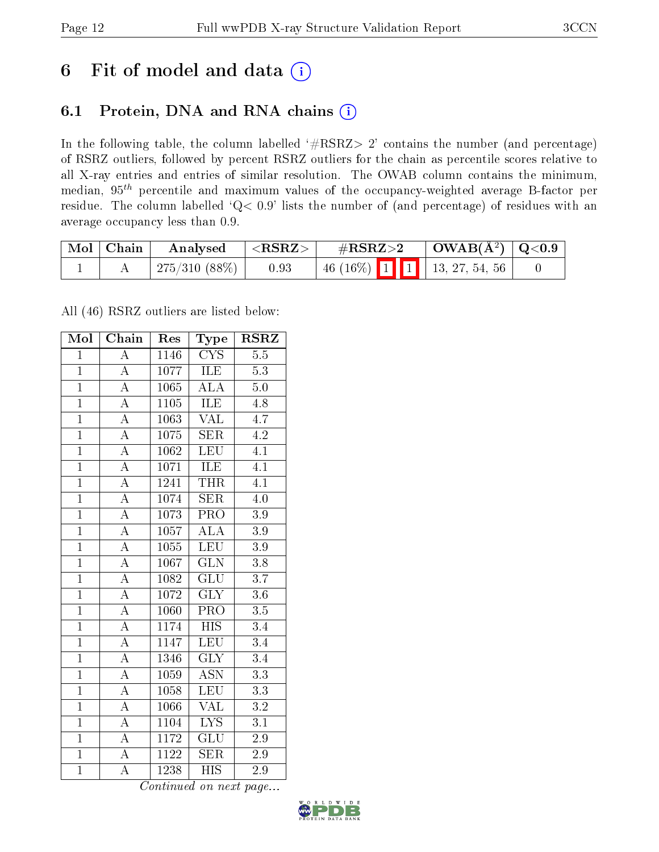## 6 Fit of model and data  $(i)$

### 6.1 Protein, DNA and RNA chains  $(i)$

In the following table, the column labelled  $#RSRZ> 2'$  contains the number (and percentage) of RSRZ outliers, followed by percent RSRZ outliers for the chain as percentile scores relative to all X-ray entries and entries of similar resolution. The OWAB column contains the minimum, median,  $95<sup>th</sup>$  percentile and maximum values of the occupancy-weighted average B-factor per residue. The column labelled ' $Q< 0.9$ ' lists the number of (and percentage) of residues with an average occupancy less than 0.9.

| $\mid$ Mol $\mid$ Chain $\mid$ | Analysed            | $  <$ RSRZ $>$ | $\rm \#RSRZ{>}2$ |  | $\vert$ OWAB( $\rm{\AA}^2$ ) $\vert$ Q<0.9 |                                 |  |
|--------------------------------|---------------------|----------------|------------------|--|--------------------------------------------|---------------------------------|--|
|                                | $\pm 275/310(88\%)$ | 0.93           |                  |  |                                            | $+46$ (16%) 1 1 1 3, 27, 54, 56 |  |

All (46) RSRZ outliers are listed below:

| Mol            | $\overline{\text{Chain}}$ | Res               | Type                      | <b>RSRZ</b>      |
|----------------|---------------------------|-------------------|---------------------------|------------------|
| $\overline{1}$ | $\overline{\rm A}$        | 1146              | $\overline{\text{CYS}}$   | 5.5              |
| $\mathbf{1}$   | $\overline{\rm A}$        | 1077              | <b>ILE</b>                | 5.3              |
| $\overline{1}$ | $\overline{\rm A}$        | 1065              | $A\overline{LA}$          | 5.0              |
| $\overline{1}$ | $\overline{\rm A}$        | 1105              | ILE                       | 4.8              |
| $\overline{1}$ | $\overline{A}$            | 1063              | $\overline{\text{VAL}}$   | 4.7              |
| $\overline{1}$ | $\overline{\rm A}$        | 1075              | <b>SER</b>                | 4.2              |
| $\overline{1}$ | $\overline{\rm A}$        | 1062              | LEU                       | $\overline{4.1}$ |
| $\overline{1}$ | $\overline{A}$            | 1071              | ILE                       | $\overline{4.1}$ |
| $\overline{1}$ | $\overline{\rm A}$        | 1241              | <b>THR</b>                | $\overline{4.1}$ |
| $\overline{1}$ | $\overline{A}$            | 1074              | SER                       | 4.0              |
| $\overline{1}$ | $\overline{\rm A}$        | 1073              | $\overline{\text{PRO}}$   | 3.9              |
| $\overline{1}$ | $\overline{A}$            | 1057              | $\overline{\rm ALA}$      | $\overline{3.9}$ |
| $\mathbf{1}$   | $\overline{A}$            | 1055              | LEU                       | 3.9              |
| $\overline{1}$ | $\overline{\rm A}$        | 1067              | $\overline{\text{GLN}}$   | 3.8              |
| $\overline{1}$ | $\overline{A}$            | 1082              | $\overline{\text{GLU}}$   | $\overline{3.7}$ |
| $\overline{1}$ | $\overline{\rm A}$        | 1072              | $\overline{\text{GLY}}$   | 3.6              |
| $\overline{1}$ | $\overline{\rm A}$        | 1060              | $\overline{\text{PRO}}$   | $\overline{3.5}$ |
| $\overline{1}$ | $\overline{\rm A}$        | 1174              | <b>HIS</b>                | 3.4              |
| $\overline{1}$ | $\overline{\rm A}$        | 1147              | LEU                       | $\overline{3}.4$ |
| $\overline{1}$ | $\overline{\rm A}$        | 1346              | $\overline{\text{GLY}}$   | 3.4              |
| $\overline{1}$ | $\overline{\rm A}$        | 1059              | $\overline{\text{ASN}}$   | 3.3              |
| $\overline{1}$ | $\overline{A}$            | 1058              | <b>LEU</b>                | $\overline{3.3}$ |
| $\mathbf{1}$   | $\overline{\rm A}$        | 1066              | <b>VAL</b>                | 3.2              |
| $\overline{1}$ | $\overline{\rm A}$        | 1104              | $\overline{\text{LYS}}$   | 3.1              |
| $\overline{1}$ | $\overline{\rm A}$        | 1172              | GLU                       | 2.9              |
| $\overline{1}$ | $\overline{\rm A}$        | $112\overline{2}$ | <b>SER</b>                | 2.9              |
| $\overline{1}$ | $\overline{\rm A}$        | 1238              | $\overline{\mathrm{HIS}}$ | $\overline{2.9}$ |

Continued on next page...

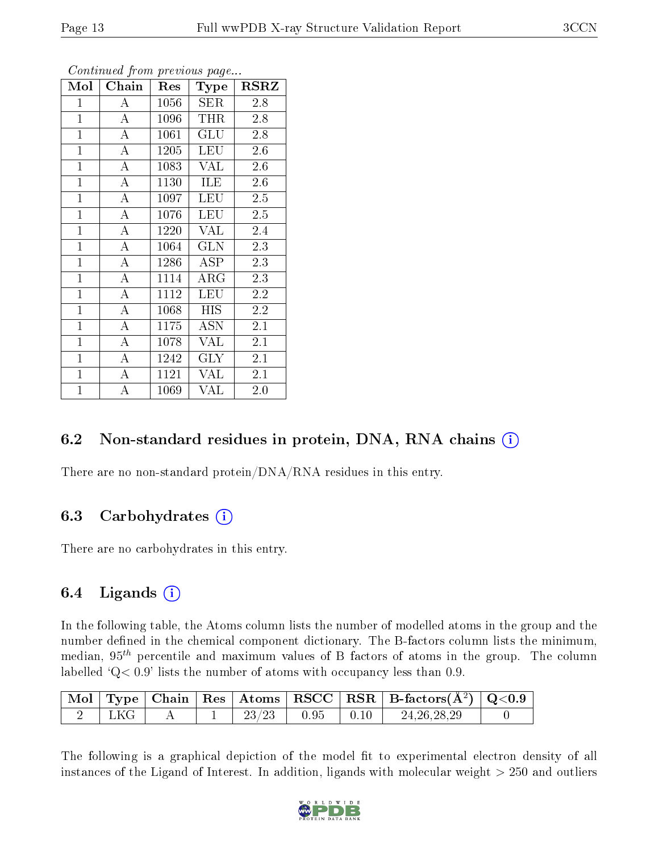| Mol            | Chain              | Res  | <b>Type</b>                        | $_{\rm RSRZ}$ |  |
|----------------|--------------------|------|------------------------------------|---------------|--|
| $\mathbf{1}$   | $\bf{A}$           | 1056 | <b>SER</b>                         | 2.8           |  |
| $\mathbf{1}$   | $\bf{A}$           | 1096 | <b>THR</b>                         | 2.8           |  |
| $\overline{1}$ | $\overline{A}$     | 1061 | <b>GLU</b>                         | 2.8           |  |
| $\mathbf{1}$   | $\boldsymbol{A}$   | 1205 | LEU                                | 2.6           |  |
| $\mathbf{1}$   | $\overline{A}$     | 1083 | VAL                                | 2.6           |  |
| $\mathbf{1}$   | $\bf{A}$           | 1130 | ILE                                | 2.6           |  |
| $\overline{1}$ | $\boldsymbol{A}$   | 1097 | <b>LEU</b>                         | 2.5           |  |
| $\overline{1}$ | $\overline{A}$     | 1076 | <b>LEU</b>                         | 2.5           |  |
| $\mathbf{1}$   | $\bf{A}$           | 1220 | <b>VAL</b>                         | 2.4           |  |
| $\overline{1}$ | $\overline{A}$     | 1064 | <b>GLN</b>                         | 2.3           |  |
| $\mathbf{1}$   | $\boldsymbol{A}$   | 1286 | ASP                                | 2.3           |  |
| $\mathbf{1}$   | $\bf{A}$           | 1114 | $\rm{ARG}$                         | 2.3           |  |
| $\mathbf{1}$   | $\overline{A}$     | 1112 | LEU                                | 2.2           |  |
| $\overline{1}$ | $\boldsymbol{A}$   | 1068 | <b>HIS</b>                         | 2.2           |  |
| $\overline{1}$ | $\overline{\rm A}$ | 1175 | $\overline{\mathrm{A}}\mathrm{SN}$ | 2.1           |  |
| $\mathbf{1}$   | $\boldsymbol{A}$   | 1078 | <b>VAL</b>                         | 2.1           |  |
| $\mathbf{1}$   | $\overline{\rm A}$ | 1242 | $\rm GLY$                          | 2.1           |  |
| $\mathbf{1}$   | $\boldsymbol{A}$   | 1121 | VAL                                | 2.1           |  |
| $\mathbf{1}$   | А                  | 1069 | VAL                                | 2.0           |  |

Continued from previous page...

### 6.2 Non-standard residues in protein, DNA, RNA chains (i)

There are no non-standard protein/DNA/RNA residues in this entry.

#### 6.3 Carbohydrates (i)

There are no carbohydrates in this entry.

#### 6.4 Ligands  $(i)$

In the following table, the Atoms column lists the number of modelled atoms in the group and the number defined in the chemical component dictionary. The B-factors column lists the minimum, median,  $95<sup>th</sup>$  percentile and maximum values of B factors of atoms in the group. The column labelled  $Q< 0.9$ ' lists the number of atoms with occupancy less than 0.9.

|        |  |       |                                                                       | $\boxed{\text{Mol}}$ Type   Chain   Res   Atoms $\boxed{\text{RSCC}}$   RSR   B-factors( $\AA^2$ )   Q<0.9 |  |
|--------|--|-------|-----------------------------------------------------------------------|------------------------------------------------------------------------------------------------------------|--|
| ' LKG- |  | 23/23 | $\begin{array}{ c c c c c } \hline 0.95 & 0.10 \\ \hline \end{array}$ | 24, 26, 28, 29                                                                                             |  |

The following is a graphical depiction of the model fit to experimental electron density of all instances of the Ligand of Interest. In addition, ligands with molecular weight  $> 250$  and outliers